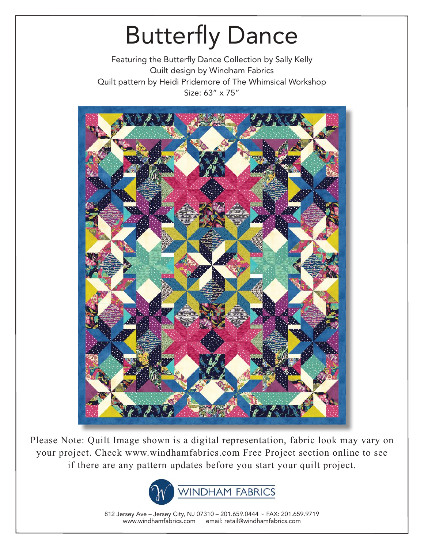Featuring the Butterfly Dance Collection by Sally Kelly Quilt design by Windham Fabrics Quilt pattern by Heidi Pridemore of The Whimsical Workshop Size: 63" x 75"



Please Note: Quilt Image shown is a digital representation, fabric look may vary on your project. Check www.windhamfabrics.com Free Project section online to see if there are any pattern updates before you start your quilt project.



812 Jersey Ave – Jersey City, NJ 07310 – 201.659.0444 ~ FAX: 201.659.9719 www.windhamfabrics.com email: retail@windhamfabrics.com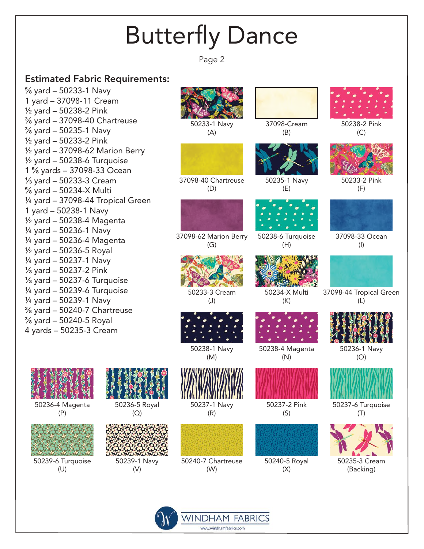Page 2

#### Estimated Fabric Requirements:

⅝ yard – 50233-1 Navy 1 yard – 37098-11 Cream ½ yard – 50238-2 Pink ⅜ yard – 37098-40 Chartreuse ⅜ yard – 50235-1 Navy ½ yard – 50233-2 Pink ½ yard – 37098-62 Marion Berry  $\frac{1}{2}$  yard – 50238-6 Turquoise 1 ⅝ yards – 37098-33 Ocean ⅓ yard – 50233-3 Cream ⅝ yard – 50234-X Multi  $\frac{1}{4}$  yard – 37098-44 Tropical Green 1 yard – 50238-1 Navy ½ yard – 50238-4 Magenta ¼ yard – 50236-1 Navy ¼ yard – 50236-4 Magenta ½ yard – 50236-5 Royal ¼ yard – 50237-1 Navy ⅓ yard – 50237-2 Pink ⅓ yard – 50237-6 Turquoise  $\frac{1}{4}$  yard – 50239-6 Turquoise ¼ yard – 50239-1 Navy ⅜ yard – 50240-7 Chartreuse ⅜ yard – 50240-5 Royal 4 yards – 50235-3 Cream

50236-4 Magenta (P)

(Q)

(V)

50239-6 Turquoise (U)



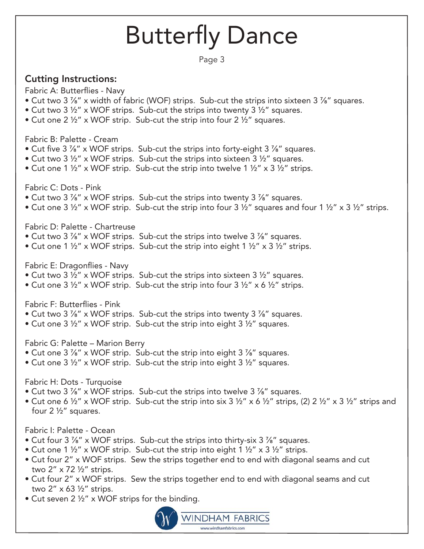Page 3

### Cutting Instructions:

Fabric A: Butterflies - Navy

- Cut two 3 <sup>7</sup>/<sub>8</sub>" x width of fabric (WOF) strips. Sub-cut the strips into sixteen 3 <sup>7</sup>/<sub>8</sub>" squares.
- Cut two 3 ½" x WOF strips. Sub-cut the strips into twenty 3 ½" squares.
- Cut one 2  $\frac{1}{2}$ " x WOF strip. Sub-cut the strip into four 2  $\frac{1}{2}$ " squares.

Fabric B: Palette - Cream

- Cut five 3 %" x WOF strips. Sub-cut the strips into forty-eight 3 %" squares.
- Cut two 3 ½" x WOF strips. Sub-cut the strips into sixteen 3 ½" squares.
- Cut one 1  $\frac{1}{2}$ " x WOF strip. Sub-cut the strip into twelve 1  $\frac{1}{2}$ " x 3  $\frac{1}{2}$ " strips.

Fabric C: Dots - Pink

- Cut two 3 %" x WOF strips. Sub-cut the strips into twenty 3 %" squares.
- Cut one 3  $\frac{1}{2}$ " x WOF strip. Sub-cut the strip into four 3  $\frac{1}{2}$ " squares and four 1  $\frac{1}{2}$ " x 3  $\frac{1}{2}$ " strips.

Fabric D: Palette - Chartreuse

- Cut two 3 %" x WOF strips. Sub-cut the strips into twelve 3 %" squares.
- Cut one 1  $\frac{1}{2}$ " x WOF strips. Sub-cut the strip into eight 1  $\frac{1}{2}$ " x 3  $\frac{1}{2}$ " strips.

Fabric E: Dragonflies - Navy

- Cut two 3 ½" x WOF strips. Sub-cut the strips into sixteen 3 ½" squares.
- Cut one 3  $\frac{1}{2}$ " x WOF strip. Sub-cut the strip into four 3  $\frac{1}{2}$ " x 6  $\frac{1}{2}$ " strips.

Fabric F: Butterflies - Pink

- Cut two 3 <sup>7</sup>/<sub>8</sub>" x WOF strips. Sub-cut the strips into twenty 3 <sup>7</sup>/<sub>8</sub>" squares.
- Cut one 3 ½" x WOF strip. Sub-cut the strip into eight 3 ½" squares.

Fabric G: Palette – Marion Berry

- Cut one 3 %" x WOF strip. Sub-cut the strip into eight 3 %" squares.
- Cut one 3 ½" x WOF strip. Sub-cut the strip into eight 3 ½" squares.

Fabric H: Dots - Turquoise

- Cut two 3 %" x WOF strips. Sub-cut the strips into twelve 3 %" squares.
- Cut one 6  $\frac{1}{2}$ " x WOF strip. Sub-cut the strip into six 3  $\frac{1}{2}$ " x 6  $\frac{1}{2}$ " strips, (2) 2  $\frac{1}{2}$ " x 3  $\frac{1}{2}$ " strips and four 2 ½" squares.

#### Fabric I: Palette - Ocean

- Cut four 3 <sup>7</sup>/<sub>8</sub>" x WOF strips. Sub-cut the strips into thirty-six 3 <sup>7</sup>/<sub>8</sub>" squares.
- Cut one 1  $\frac{1}{2}$ " x WOF strip. Sub-cut the strip into eight 1  $\frac{1}{2}$ " x 3  $\frac{1}{2}$ " strips.
- Cut four 2" x WOF strips. Sew the strips together end to end with diagonal seams and cut two 2" x 72 ½" strips.
- Cut four 2" x WOF strips. Sew the strips together end to end with diagonal seams and cut two 2" x 63 ½" strips.
- Cut seven 2 ½" x WOF strips for the binding.

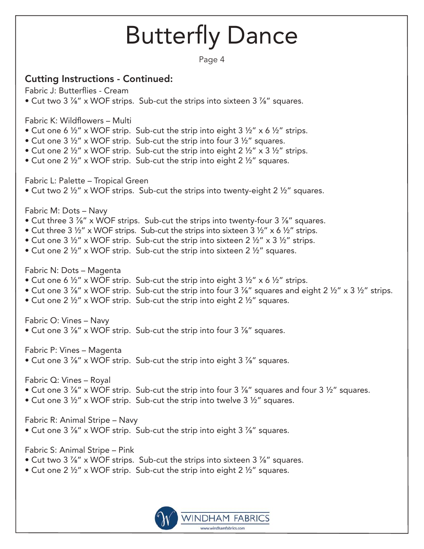Page 4

### Cutting Instructions - Continued:

Fabric J: Butterflies - Cream • Cut two 3 %" x WOF strips. Sub-cut the strips into sixteen 3 %" squares.

Fabric K: Wildflowers – Multi

- Cut one 6  $\frac{1}{2}$ " x WOF strip. Sub-cut the strip into eight 3  $\frac{1}{2}$ " x 6  $\frac{1}{2}$ " strips.
- Cut one 3  $\frac{1}{2}$ " x WOF strip. Sub-cut the strip into four 3  $\frac{1}{2}$ " squares.
- Cut one 2  $\frac{1}{2}$ " x WOF strip. Sub-cut the strip into eight 2  $\frac{1}{2}$ " x 3  $\frac{1}{2}$ " strips.
- Cut one 2 ½" x WOF strip. Sub-cut the strip into eight 2 ½" squares.

Fabric L: Palette – Tropical Green

• Cut two 2 ½" x WOF strips. Sub-cut the strips into twenty-eight 2 ½" squares.

Fabric M: Dots – Navy

- Cut three 3 <sup>7</sup>/<sub>6</sub>" x WOF strips. Sub-cut the strips into twenty-four 3 <sup>7</sup>/<sub>6</sub>" squares.
- Cut three 3  $\frac{1}{2}$ " x WOF strips. Sub-cut the strips into sixteen 3  $\frac{1}{2}$ " x 6  $\frac{1}{2}$ " strips.
- Cut one 3  $\frac{1}{2}$ " x WOF strip. Sub-cut the strip into sixteen 2  $\frac{1}{2}$ " x 3  $\frac{1}{2}$ " strips.
- Cut one 2 ½" x WOF strip. Sub-cut the strip into sixteen 2 ½" squares.

Fabric N: Dots – Magenta

- Cut one 6  $\frac{1}{2}$ " x WOF strip. Sub-cut the strip into eight 3  $\frac{1}{2}$ " x 6  $\frac{1}{2}$ " strips.
- Cut one 3  $\frac{7}{8}$ " x WOF strip. Sub-cut the strip into four 3  $\frac{7}{8}$ " squares and eight 2  $\frac{1}{2}$ " x 3  $\frac{1}{2}$ " strips.
- Cut one 2 ½" x WOF strip. Sub-cut the strip into eight 2 ½" squares.

Fabric O: Vines – Navy

• Cut one 3 <sup>7</sup>/<sub>8</sub>" x WOF strip. Sub-cut the strip into four 3 <sup>7</sup>/<sub>8</sub>" squares.

Fabric P: Vines – Magenta

• Cut one 3 %" x WOF strip. Sub-cut the strip into eight 3 %" squares.

Fabric Q: Vines – Royal

- Cut one 3 %" x WOF strip. Sub-cut the strip into four 3 %" squares and four 3 ½" squares.
- Cut one 3 ½" x WOF strip. Sub-cut the strip into twelve 3 ½" squares.

Fabric R: Animal Stripe – Navy

• Cut one 3 %" x WOF strip. Sub-cut the strip into eight 3 %" squares.

Fabric S: Animal Stripe – Pink

- Cut two 3 %" x WOF strips. Sub-cut the strips into sixteen 3 %" squares.
- Cut one 2  $\frac{1}{2}$ " x WOF strip. Sub-cut the strip into eight 2  $\frac{1}{2}$ " squares.

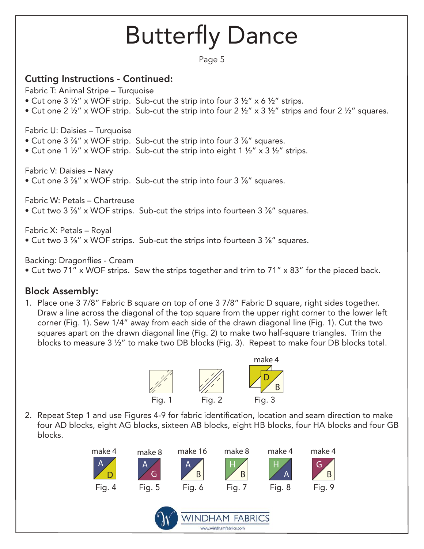Page 5

### Cutting Instructions - Continued:

Fabric T: Animal Stripe – Turquoise

- Cut one 3  $\frac{1}{2}$ " x WOF strip. Sub-cut the strip into four 3  $\frac{1}{2}$ " x 6  $\frac{1}{2}$ " strips.
- Cut one 2  $\frac{1}{2}$ " x WOF strip. Sub-cut the strip into four 2  $\frac{1}{2}$ " x 3  $\frac{1}{2}$ " strips and four 2  $\frac{1}{2}$ " squares.

Fabric U: Daisies – Turquoise

- Cut one 3 <sup>7</sup>/<sub>8</sub>" x WOF strip. Sub-cut the strip into four 3 <sup>7</sup>/<sub>8</sub>" squares.
- Cut one 1  $\frac{1}{2}$ " x WOF strip. Sub-cut the strip into eight 1  $\frac{1}{2}$ " x 3  $\frac{1}{2}$ " strips.

Fabric V: Daisies – Navy

• Cut one 3 ⅞" x WOF strip. Sub-cut the strip into four 3 ⅞" squares.

Fabric W: Petals – Chartreuse

• Cut two 3 ⅞" x WOF strips. Sub-cut the strips into fourteen 3 ⅞" squares.

Fabric X: Petals – Royal

• Cut two 3 %" x WOF strips. Sub-cut the strips into fourteen 3 %" squares.

Backing: Dragonflies - Cream

• Cut two 71" x WOF strips. Sew the strips together and trim to 71" x 83" for the pieced back.

### Block Assembly:

1. Place one 3 7/8" Fabric B square on top of one 3 7/8" Fabric D square, right sides together. Draw a line across the diagonal of the top square from the upper right corner to the lower left corner (Fig. 1). Sew 1/4" away from each side of the drawn diagonal line (Fig. 1). Cut the two squares apart on the drawn diagonal line (Fig. 2) to make two half-square triangles. Trim the blocks to measure 3 ½" to make two DB blocks (Fig. 3). Repeat to make four DB blocks total.



2. Repeat Step 1 and use Figures 4-9 for fabric identification, location and seam direction to make four AD blocks, eight AG blocks, sixteen AB blocks, eight HB blocks, four HA blocks and four GB blocks.

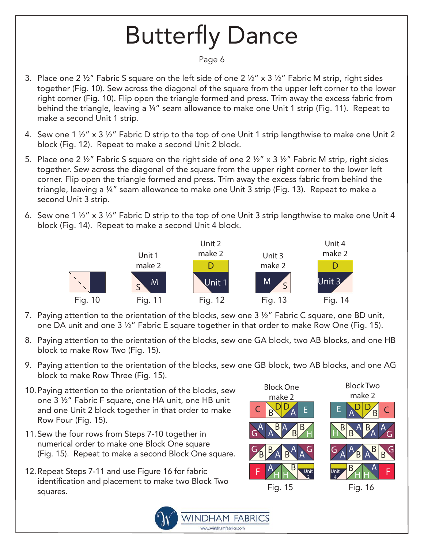#### Page 6

- 3. Place one 2 ½" Fabric S square on the left side of one 2 ½" x 3 ½" Fabric M strip, right sides together (Fig. 10). Sew across the diagonal of the square from the upper left corner to the lower right corner (Fig. 10). Flip open the triangle formed and press. Trim away the excess fabric from behind the triangle, leaving a ¼" seam allowance to make one Unit 1 strip (Fig. 11). Repeat to make a second Unit 1 strip.
- 4. Sew one 1 ½" x 3 ½" Fabric D strip to the top of one Unit 1 strip lengthwise to make one Unit 2 block (Fig. 12). Repeat to make a second Unit 2 block.
- 5. Place one 2 ½" Fabric S square on the right side of one 2 ½" x 3 ½" Fabric M strip, right sides together. Sew across the diagonal of the square from the upper right corner to the lower left corner. Flip open the triangle formed and press. Trim away the excess fabric from behind the triangle, leaving a ¼" seam allowance to make one Unit 3 strip (Fig. 13). Repeat to make a second Unit 3 strip.
- 6. Sew one 1 ½" x 3 ½" Fabric D strip to the top of one Unit 3 strip lengthwise to make one Unit 4 block (Fig. 14). Repeat to make a second Unit 4 block.



- 7. Paying attention to the orientation of the blocks, sew one 3 ½" Fabric C square, one BD unit, one DA unit and one 3 ½" Fabric E square together in that order to make Row One (Fig. 15).
- 8. Paying attention to the orientation of the blocks, sew one GA block, two AB blocks, and one HB block to make Row Two (Fig. 15).
- 9. Paying attention to the orientation of the blocks, sew one GB block, two AB blocks, and one AG block to make Row Three (Fig. 15).
- 10. Paying attention to the orientation of the blocks, sew one 3 ½" Fabric F square, one HA unit, one HB unit and one Unit 2 block together in that order to make Row Four (Fig. 15).
- 11. Sew the four rows from Steps 7-10 together in numerical order to make one Block One square (Fig. 15). Repeat to make a second Block One square.
- 12. Repeat Steps 7-11 and use Figure 16 for fabric identification and placement to make two Block Two squares.



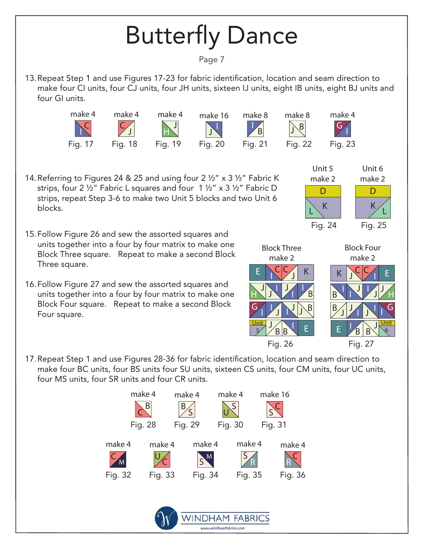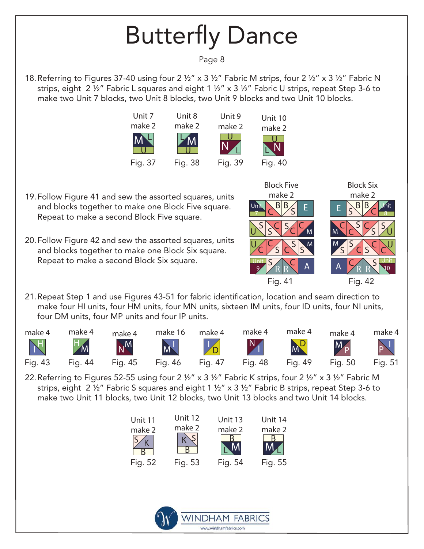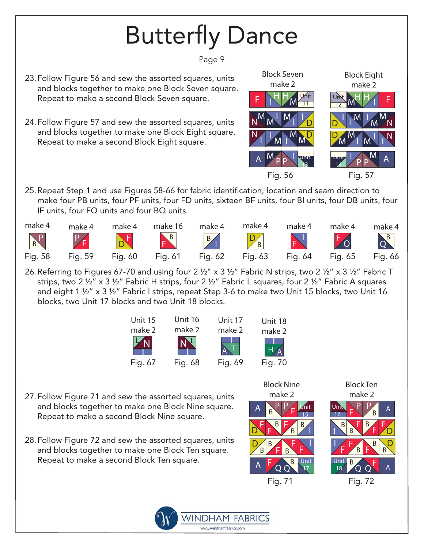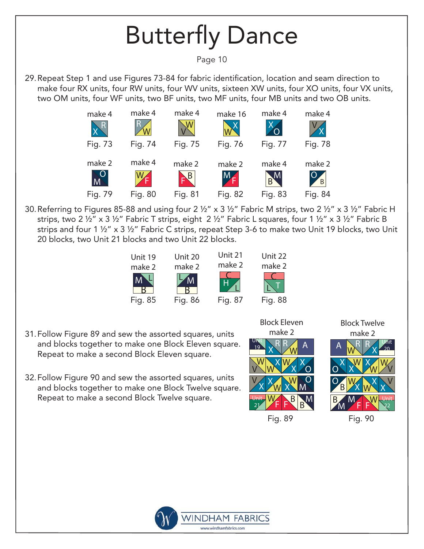



- 31. Follow Figure 89 and sew the assorted squares, units and blocks together to make one Block Eleven square. Repeat to make a second Block Eleven square.
- 32. Follow Figure 90 and sew the assorted squares, units and blocks together to make one Block Twelve square. Repeat to make a second Block Twelve square.





Block Twelve

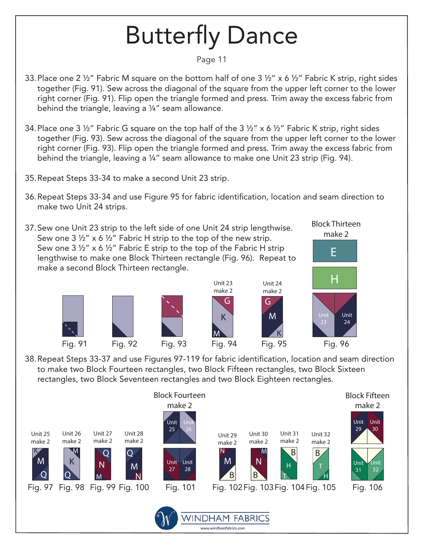#### Page 11

- 33. Place one 2 ½" Fabric M square on the bottom half of one 3 ½" x 6 ½" Fabric K strip, right sides together (Fig. 91). Sew across the diagonal of the square from the upper left corner to the lower right corner (Fig. 91). Flip open the triangle formed and press. Trim away the excess fabric from behind the triangle, leaving a ¼" seam allowance.
- 34. Place one 3 ½" Fabric G square on the top half of the 3 ½" x 6 ½" Fabric K strip, right sides together (Fig. 93). Sew across the diagonal of the square from the upper left corner to the lower right corner (Fig. 93). Flip open the triangle formed and press. Trim away the excess fabric from behind the triangle, leaving a ¼" seam allowance to make one Unit 23 strip (Fig. 94).
- 35. Repeat Steps 33-34 to make a second Unit 23 strip.
- 36. Repeat Steps 33-34 and use Figure 95 for fabric identification, location and seam direction to make two Unit 24 strips.
- 37. Sew one Unit 23 strip to the left side of one Unit 24 strip lengthwise. Sew one  $3\frac{1}{2}$ " x 6  $\frac{1}{2}$ " Fabric H strip to the top of the new strip. Sew one 3  $\frac{1}{2}$ " x 6  $\frac{1}{2}$ " Fabric E strip to the top of the Fabric H strip lengthwise to make one Block Thirteen rectangle (Fig. 96). Repeat to make a second Block Thirteen rectangle.









M

K



Block Thirteen

38. Repeat Steps 33-37 and use Figures 97-119 for fabric identification, location and seam direction to make two Block Fourteen rectangles, two Block Fifteen rectangles, two Block Sixteen rectangles, two Block Seventeen rectangles and two Block Eighteen rectangles.

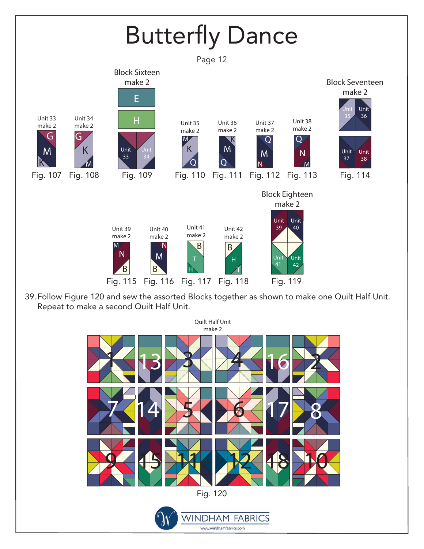

**WINDHAM FABRICS** www.windhamfabrics.com